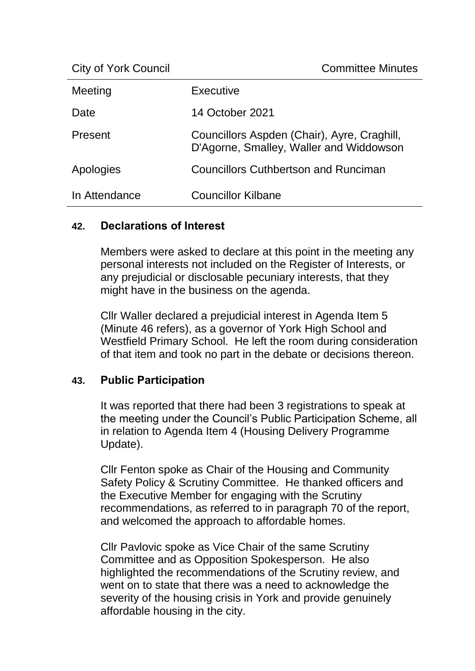| Meeting       | Executive                                                                              |
|---------------|----------------------------------------------------------------------------------------|
| Date          | 14 October 2021                                                                        |
| Present       | Councillors Aspden (Chair), Ayre, Craghill,<br>D'Agorne, Smalley, Waller and Widdowson |
| Apologies     | <b>Councillors Cuthbertson and Runciman</b>                                            |
| In Attendance | <b>Councillor Kilbane</b>                                                              |

### **42. Declarations of Interest**

Members were asked to declare at this point in the meeting any personal interests not included on the Register of Interests, or any prejudicial or disclosable pecuniary interests, that they might have in the business on the agenda.

Cllr Waller declared a prejudicial interest in Agenda Item 5 (Minute 46 refers), as a governor of York High School and Westfield Primary School. He left the room during consideration of that item and took no part in the debate or decisions thereon.

### **43. Public Participation**

It was reported that there had been 3 registrations to speak at the meeting under the Council's Public Participation Scheme, all in relation to Agenda Item 4 (Housing Delivery Programme Update).

Cllr Fenton spoke as Chair of the Housing and Community Safety Policy & Scrutiny Committee. He thanked officers and the Executive Member for engaging with the Scrutiny recommendations, as referred to in paragraph 70 of the report, and welcomed the approach to affordable homes.

Cllr Pavlovic spoke as Vice Chair of the same Scrutiny Committee and as Opposition Spokesperson. He also highlighted the recommendations of the Scrutiny review, and went on to state that there was a need to acknowledge the severity of the housing crisis in York and provide genuinely affordable housing in the city.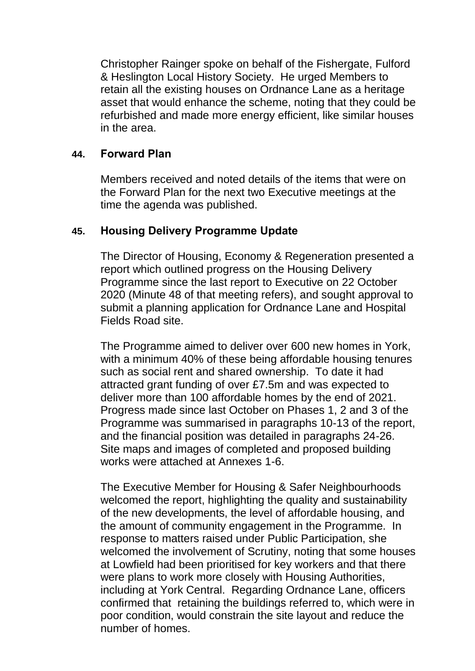Christopher Rainger spoke on behalf of the Fishergate, Fulford & Heslington Local History Society. He urged Members to retain all the existing houses on Ordnance Lane as a heritage asset that would enhance the scheme, noting that they could be refurbished and made more energy efficient, like similar houses in the area.

# **44. Forward Plan**

Members received and noted details of the items that were on the Forward Plan for the next two Executive meetings at the time the agenda was published.

# **45. Housing Delivery Programme Update**

The Director of Housing, Economy & Regeneration presented a report which outlined progress on the Housing Delivery Programme since the last report to Executive on 22 October 2020 (Minute 48 of that meeting refers), and sought approval to submit a planning application for Ordnance Lane and Hospital Fields Road site.

The Programme aimed to deliver over 600 new homes in York, with a minimum 40% of these being affordable housing tenures such as social rent and shared ownership. To date it had attracted grant funding of over £7.5m and was expected to deliver more than 100 affordable homes by the end of 2021. Progress made since last October on Phases 1, 2 and 3 of the Programme was summarised in paragraphs 10-13 of the report, and the financial position was detailed in paragraphs 24-26. Site maps and images of completed and proposed building works were attached at Annexes 1-6.

The Executive Member for Housing & Safer Neighbourhoods welcomed the report, highlighting the quality and sustainability of the new developments, the level of affordable housing, and the amount of community engagement in the Programme. In response to matters raised under Public Participation, she welcomed the involvement of Scrutiny, noting that some houses at Lowfield had been prioritised for key workers and that there were plans to work more closely with Housing Authorities, including at York Central. Regarding Ordnance Lane, officers confirmed that retaining the buildings referred to, which were in poor condition, would constrain the site layout and reduce the number of homes.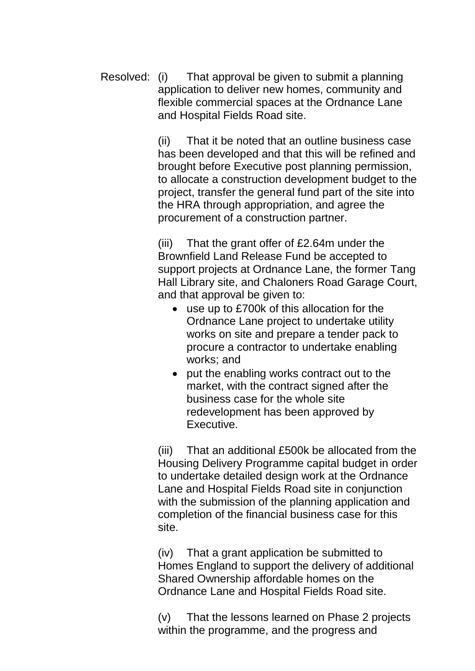Resolved: (i) That approval be given to submit a planning application to deliver new homes, community and flexible commercial spaces at the Ordnance Lane and Hospital Fields Road site.

> (ii) That it be noted that an outline business case has been developed and that this will be refined and brought before Executive post planning permission, to allocate a construction development budget to the project, transfer the general fund part of the site into the HRA through appropriation, and agree the procurement of a construction partner.

> (iii) That the grant offer of £2.64m under the Brownfield Land Release Fund be accepted to support projects at Ordnance Lane, the former Tang Hall Library site, and Chaloners Road Garage Court, and that approval be given to:

- use up to £700k of this allocation for the Ordnance Lane project to undertake utility works on site and prepare a tender pack to procure a contractor to undertake enabling works; and
- put the enabling works contract out to the market, with the contract signed after the business case for the whole site redevelopment has been approved by Executive.

(iii) That an additional £500k be allocated from the Housing Delivery Programme capital budget in order to undertake detailed design work at the Ordnance Lane and Hospital Fields Road site in conjunction with the submission of the planning application and completion of the financial business case for this site.

(iv) That a grant application be submitted to Homes England to support the delivery of additional Shared Ownership affordable homes on the Ordnance Lane and Hospital Fields Road site.

(v) That the lessons learned on Phase 2 projects within the programme, and the progress and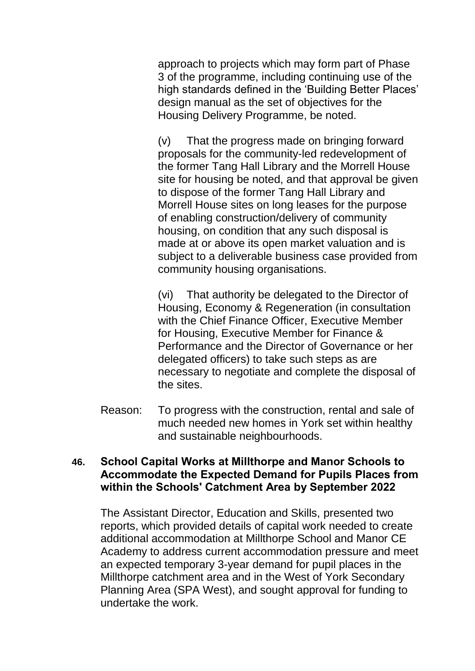approach to projects which may form part of Phase 3 of the programme, including continuing use of the high standards defined in the 'Building Better Places' design manual as the set of objectives for the Housing Delivery Programme, be noted.

(v) That the progress made on bringing forward proposals for the community-led redevelopment of the former Tang Hall Library and the Morrell House site for housing be noted, and that approval be given to dispose of the former Tang Hall Library and Morrell House sites on long leases for the purpose of enabling construction/delivery of community housing, on condition that any such disposal is made at or above its open market valuation and is subject to a deliverable business case provided from community housing organisations.

(vi) That authority be delegated to the Director of Housing, Economy & Regeneration (in consultation with the Chief Finance Officer, Executive Member for Housing, Executive Member for Finance & Performance and the Director of Governance or her delegated officers) to take such steps as are necessary to negotiate and complete the disposal of the sites.

Reason: To progress with the construction, rental and sale of much needed new homes in York set within healthy and sustainable neighbourhoods.

### **46. School Capital Works at Millthorpe and Manor Schools to Accommodate the Expected Demand for Pupils Places from within the Schools' Catchment Area by September 2022**

The Assistant Director, Education and Skills, presented two reports, which provided details of capital work needed to create additional accommodation at Millthorpe School and Manor CE Academy to address current accommodation pressure and meet an expected temporary 3-year demand for pupil places in the Millthorpe catchment area and in the West of York Secondary Planning Area (SPA West), and sought approval for funding to undertake the work.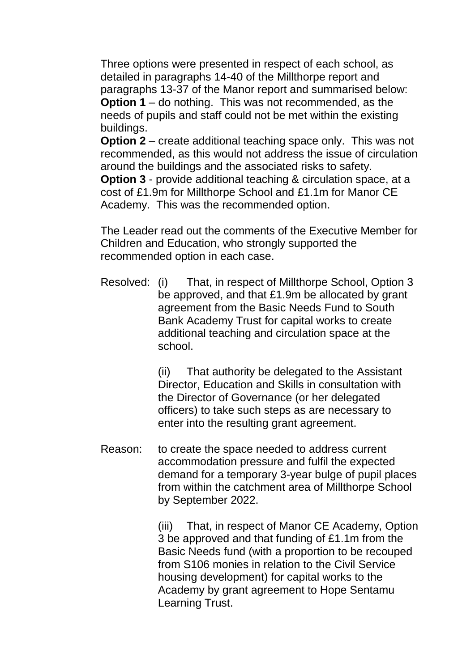Three options were presented in respect of each school, as detailed in paragraphs 14-40 of the Millthorpe report and paragraphs 13-37 of the Manor report and summarised below: **Option 1** – do nothing. This was not recommended, as the needs of pupils and staff could not be met within the existing buildings.

**Option 2** – create additional teaching space only. This was not recommended, as this would not address the issue of circulation around the buildings and the associated risks to safety.

**Option 3** - provide additional teaching & circulation space, at a cost of £1.9m for Millthorpe School and £1.1m for Manor CE Academy. This was the recommended option.

The Leader read out the comments of the Executive Member for Children and Education, who strongly supported the recommended option in each case.

Resolved: (i) That, in respect of Millthorpe School, Option 3 be approved, and that £1.9m be allocated by grant agreement from the Basic Needs Fund to South Bank Academy Trust for capital works to create additional teaching and circulation space at the school.

> (ii) That authority be delegated to the Assistant Director, Education and Skills in consultation with the Director of Governance (or her delegated officers) to take such steps as are necessary to enter into the resulting grant agreement.

Reason: to create the space needed to address current accommodation pressure and fulfil the expected demand for a temporary 3-year bulge of pupil places from within the catchment area of Millthorpe School by September 2022.

> (iii) That, in respect of Manor CE Academy, Option 3 be approved and that funding of £1.1m from the Basic Needs fund (with a proportion to be recouped from S106 monies in relation to the Civil Service housing development) for capital works to the Academy by grant agreement to Hope Sentamu Learning Trust.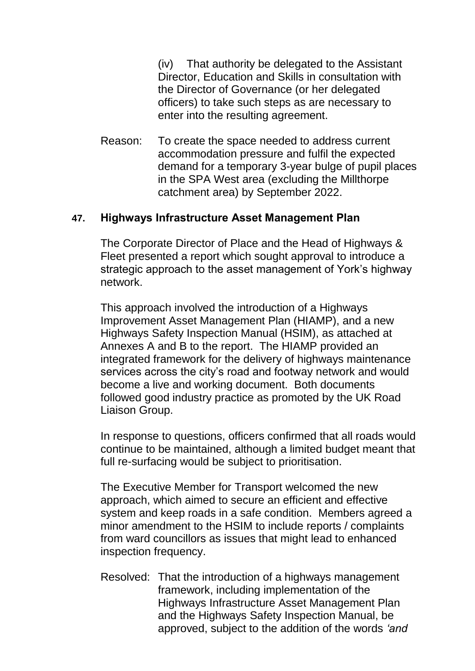(iv) That authority be delegated to the Assistant Director, Education and Skills in consultation with the Director of Governance (or her delegated officers) to take such steps as are necessary to enter into the resulting agreement.

Reason: To create the space needed to address current accommodation pressure and fulfil the expected demand for a temporary 3-year bulge of pupil places in the SPA West area (excluding the Millthorpe catchment area) by September 2022.

# **47. Highways Infrastructure Asset Management Plan**

The Corporate Director of Place and the Head of Highways & Fleet presented a report which sought approval to introduce a strategic approach to the asset management of York's highway network.

This approach involved the introduction of a Highways Improvement Asset Management Plan (HIAMP), and a new Highways Safety Inspection Manual (HSIM), as attached at Annexes A and B to the report. The HIAMP provided an integrated framework for the delivery of highways maintenance services across the city's road and footway network and would become a live and working document. Both documents followed good industry practice as promoted by the UK Road Liaison Group.

In response to questions, officers confirmed that all roads would continue to be maintained, although a limited budget meant that full re-surfacing would be subject to prioritisation.

The Executive Member for Transport welcomed the new approach, which aimed to secure an efficient and effective system and keep roads in a safe condition. Members agreed a minor amendment to the HSIM to include reports / complaints from ward councillors as issues that might lead to enhanced inspection frequency.

Resolved: That the introduction of a highways management framework, including implementation of the Highways Infrastructure Asset Management Plan and the Highways Safety Inspection Manual, be approved, subject to the addition of the words *'and*